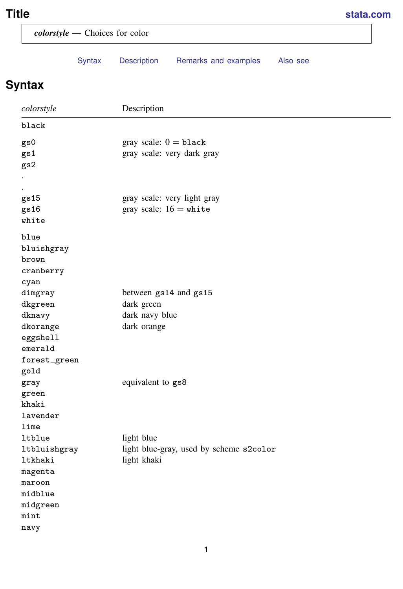# <span id="page-0-1"></span>**Title [stata.com](http://stata.com)**

<span id="page-0-0"></span>

|                 | colorstyle - Choices for color                  |  |  |  |  |  |  |
|-----------------|-------------------------------------------------|--|--|--|--|--|--|
| Syntax          | Description<br>Remarks and examples<br>Also see |  |  |  |  |  |  |
| <b>Syntax</b>   |                                                 |  |  |  |  |  |  |
| colorstyle      | Description                                     |  |  |  |  |  |  |
| black           |                                                 |  |  |  |  |  |  |
| gs0             | gray scale: $0 =$ black                         |  |  |  |  |  |  |
| gs1             | gray scale: very dark gray                      |  |  |  |  |  |  |
| gs2             |                                                 |  |  |  |  |  |  |
|                 |                                                 |  |  |  |  |  |  |
|                 |                                                 |  |  |  |  |  |  |
| gs15            | gray scale: very light gray                     |  |  |  |  |  |  |
| gs16            | gray scale: $16 = \text{white}$                 |  |  |  |  |  |  |
| white           |                                                 |  |  |  |  |  |  |
| blue            |                                                 |  |  |  |  |  |  |
| bluishgray      |                                                 |  |  |  |  |  |  |
| brown           |                                                 |  |  |  |  |  |  |
| cranberry       |                                                 |  |  |  |  |  |  |
| cyan            |                                                 |  |  |  |  |  |  |
| dimgray         | between gs14 and gs15                           |  |  |  |  |  |  |
| dkgreen         | dark green                                      |  |  |  |  |  |  |
| dknavy          | dark navy blue                                  |  |  |  |  |  |  |
| dkorange        | dark orange                                     |  |  |  |  |  |  |
| eggshell        |                                                 |  |  |  |  |  |  |
| emerald         |                                                 |  |  |  |  |  |  |
| forest_green    |                                                 |  |  |  |  |  |  |
| gold            |                                                 |  |  |  |  |  |  |
| gray            | equivalent to gs8                               |  |  |  |  |  |  |
| green           |                                                 |  |  |  |  |  |  |
| khaki           |                                                 |  |  |  |  |  |  |
| lavender        |                                                 |  |  |  |  |  |  |
| $\texttt{lime}$ |                                                 |  |  |  |  |  |  |
| ltblue          | light blue                                      |  |  |  |  |  |  |
| ltbluishgray    | light blue-gray, used by scheme s2color         |  |  |  |  |  |  |
| ltkhaki         | light khaki                                     |  |  |  |  |  |  |
| magenta         |                                                 |  |  |  |  |  |  |
| maroon          |                                                 |  |  |  |  |  |  |
| midblue         |                                                 |  |  |  |  |  |  |
| midgreen        |                                                 |  |  |  |  |  |  |
| $\texttt{mint}$ |                                                 |  |  |  |  |  |  |
| navy            |                                                 |  |  |  |  |  |  |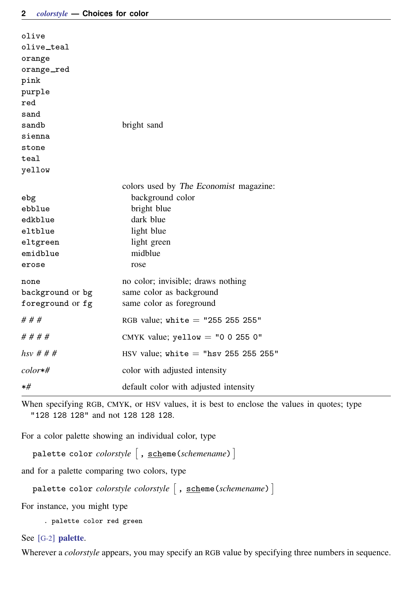| olive            |                                        |
|------------------|----------------------------------------|
| olive_teal       |                                        |
| orange           |                                        |
| orange_red       |                                        |
| pink             |                                        |
| purple           |                                        |
| red              |                                        |
| sand             |                                        |
| sandb            | bright sand                            |
| sienna           |                                        |
| stone            |                                        |
| teal             |                                        |
| yellow           |                                        |
|                  | colors used by The Economist magazine: |
| ebg              | background color                       |
| ebblue           | bright blue                            |
| edkblue          | dark blue                              |
| eltblue          | light blue                             |
| eltgreen         | light green                            |
| emidblue         | midblue                                |
| erose            | rose                                   |
| none             | no color; invisible; draws nothing     |
| background or bg | same color as background               |
| foreground or fg | same color as foreground               |
| # # #            | RGB value; white $=$ "255 255 255"     |
| # # # #          | CMYK value; yellow = "0 0 255 0"       |
| $hsv \# # #$     | HSV value; white $=$ "hsv 255 255 255" |
| $color*#$        | color with adjusted intensity          |
| $*$ #            | default color with adjusted intensity  |

When specifying RGB, CMYK, or HSV values, it is best to enclose the values in quotes; type "128 128 128" and not 128 128 128.

For a color palette showing an individual color, type

palette color *colorstyle*  $\lceil$  , <u>sch</u>eme(*schemename*)]

and for a palette comparing two colors, type

palette color *colorstyle colorstyle*  $\lceil$  , <u>sch</u>eme(*schemename*)  $\rceil$ 

For instance, you might type

. palette color red green

### See [G-2] [palette](http://www.stata.com/manuals13/g-2palette.pdf#g-2palette).

Wherever a *colorstyle* appears, you may specify an RGB value by specifying three numbers in sequence.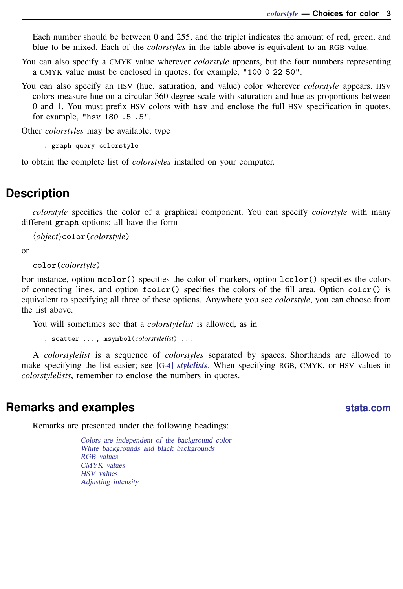Each number should be between 0 and 255, and the triplet indicates the amount of red, green, and blue to be mixed. Each of the *colorstyles* in the table above is equivalent to an RGB value.

You can also specify a CMYK value wherever *colorstyle* appears, but the four numbers representing a CMYK value must be enclosed in quotes, for example, "100 0 22 50".

You can also specify an HSV (hue, saturation, and value) color wherever *colorstyle* appears. HSV colors measure hue on a circular 360-degree scale with saturation and hue as proportions between 0 and 1. You must prefix HSV colors with hsv and enclose the full HSV specification in quotes, for example, "hsv 180 .5 .5".

Other *colorstyles* may be available; type

. graph query colorstyle

<span id="page-2-0"></span>to obtain the complete list of *colorstyles* installed on your computer.

# **Description**

*colorstyle* specifies the color of a graphical component. You can specify *colorstyle* with many different graph options; all have the form

h*object*icolor(*colorstyle*)

or

color(*colorstyle*)

For instance, option mcolor() specifies the color of markers, option lcolor() specifies the colors of connecting lines, and option fcolor() specifies the colors of the fill area. Option color() is equivalent to specifying all three of these options. Anywhere you see *colorstyle*, you can choose from the list above.

You will sometimes see that a *colorstylelist* is allowed, as in

. scatter . . . , msymbol(*colorstylelist*) . . .

A *colorstylelist* is a sequence of *colorstyles* separated by spaces. Shorthands are allowed to make specifying the list easier; see [G-4] *[stylelists](http://www.stata.com/manuals13/g-4stylelists.pdf#g-4stylelists)*. When specifying RGB, CMYK, or HSV values in *colorstylelists*, remember to enclose the numbers in quotes.

# <span id="page-2-1"></span>**Remarks and examples [stata.com](http://stata.com)**

Remarks are presented under the following headings:

[Colors are independent of the background color](#page-3-0) [White backgrounds and black backgrounds](#page-3-1) [RGB values](#page-3-2) [CMYK values](#page-4-0) [HSV values](#page-4-1) [Adjusting intensity](#page-5-0)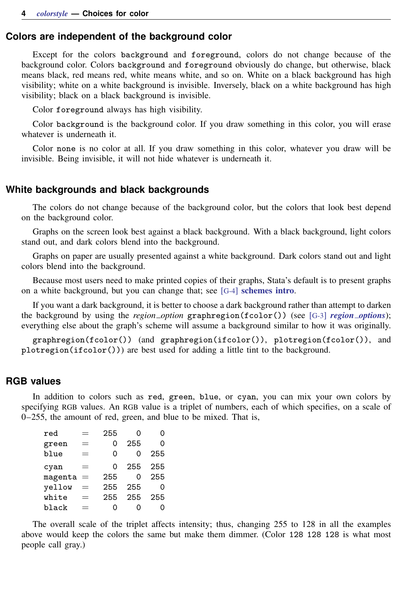# <span id="page-3-0"></span>**Colors are independent of the background color**

Except for the colors background and foreground, colors do not change because of the background color. Colors background and foreground obviously do change, but otherwise, black means black, red means red, white means white, and so on. White on a black background has high visibility; white on a white background is invisible. Inversely, black on a white background has high visibility; black on a black background is invisible.

Color foreground always has high visibility.

Color background is the background color. If you draw something in this color, you will erase whatever is underneath it.

<span id="page-3-1"></span>Color none is no color at all. If you draw something in this color, whatever you draw will be invisible. Being invisible, it will not hide whatever is underneath it.

### **White backgrounds and black backgrounds**

The colors do not change because of the background color, but the colors that look best depend on the background color.

Graphs on the screen look best against a black background. With a black background, light colors stand out, and dark colors blend into the background.

Graphs on paper are usually presented against a white background. Dark colors stand out and light colors blend into the background.

Because most users need to make printed copies of their graphs, Stata's default is to present graphs on a white background, but you can change that; see [G-4] [schemes intro](http://www.stata.com/manuals13/g-4schemesintro.pdf#g-4schemesintro).

If you want a dark background, it is better to choose a dark background rather than attempt to darken the background by using the *region option* graphregion(fcolor()) (see [G-3] *region [options](http://www.stata.com/manuals13/g-3region_options.pdf#g-3region_options)*); everything else about the graph's scheme will assume a background similar to how it was originally.

<span id="page-3-2"></span>graphregion(fcolor()) (and graphregion(ifcolor()), plotregion(fcolor()), and plotregion(ifcolor())) are best used for adding a little tint to the background.

# **RGB values**

In addition to colors such as red, green, blue, or cyan, you can mix your own colors by specifying RGB values. An RGB value is a triplet of numbers, each of which specifies, on a scale of 0–255, the amount of red, green, and blue to be mixed. That is,

| red     |                 | 255 | O   | 0   |
|---------|-----------------|-----|-----|-----|
| green   | =               | Ω   | 255 | Ω   |
| blue    | Ξ               | Ω   | Ω   | 255 |
| cyan    | ═               | Ω   | 255 | 255 |
| magenta | $\!\!\!=\!\!\!$ | 255 | Ω   | 255 |
| vellow  |                 | 255 | 255 | Ω   |
| white   | =               | 255 | 255 | 255 |
| black   |                 |     | O   |     |

The overall scale of the triplet affects intensity; thus, changing 255 to 128 in all the examples above would keep the colors the same but make them dimmer. (Color 128 128 128 is what most people call gray.)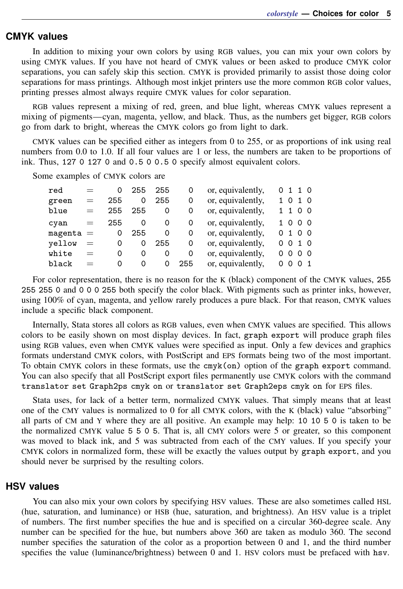# <span id="page-4-0"></span>**CMYK values**

In addition to mixing your own colors by using RGB values, you can mix your own colors by using CMYK values. If you have not heard of CMYK values or been asked to produce CMYK color separations, you can safely skip this section. CMYK is provided primarily to assist those doing color separations for mass printings. Although most inkjet printers use the more common RGB color values, printing presses almost always require CMYK values for color separation.

RGB values represent a mixing of red, green, and blue light, whereas CMYK values represent a mixing of pigments—cyan, magenta, yellow, and black. Thus, as the numbers get bigger, RGB colors go from dark to bright, whereas the CMYK colors go from light to dark.

CMYK values can be specified either as integers from 0 to 255, or as proportions of ink using real numbers from 0.0 to 1.0. If all four values are 1 or less, the numbers are taken to be proportions of ink. Thus, 127 0 127 0 and 0.5 0 0.5 0 specify almost equivalent colors.

Some examples of CMYK colors are

| red         | $=$ | 0   | 255 | 255      | 0   | or, equivalently, |    |          | 0 1 1 0        |  |
|-------------|-----|-----|-----|----------|-----|-------------------|----|----------|----------------|--|
| green       | $=$ | 255 | 0   | 255      | 0   | or, equivalently, |    | 10       | 1 0            |  |
| blue        | $=$ | 255 | 255 | 0        | 0   | or, equivalently, |    |          | 1100           |  |
| cyan        | $=$ | 255 | 0   | 0        | 0   | or, equivalently, |    |          | 1000           |  |
| $magenta =$ |     | 0   | 255 | 0        | 0   | or, equivalently, | 0. |          | 100            |  |
| vellow      | $=$ | 0   | 0   | 255      | 0   | or, equivalently, | 0  |          | 010            |  |
| white       | $=$ | 0   | 0   | 0        | 0   | or, equivalently, | 0  | $\Omega$ | 0 <sub>0</sub> |  |
| black       | $=$ | 0   | Ω   | $\Omega$ | 255 | or, equivalently, | Ω  | 0        | O 1            |  |

For color representation, there is no reason for the K (black) component of the CMYK values, 255 255 255 0 and 0 0 0 255 both specify the color black. With pigments such as printer inks, however, using 100% of cyan, magenta, and yellow rarely produces a pure black. For that reason, CMYK values include a specific black component.

Internally, Stata stores all colors as RGB values, even when CMYK values are specified. This allows colors to be easily shown on most display devices. In fact, graph export will produce graph files using RGB values, even when CMYK values were specified as input. Only a few devices and graphics formats understand CMYK colors, with PostScript and EPS formats being two of the most important. To obtain CMYK colors in these formats, use the cmyk(on) option of the graph export command. You can also specify that all PostScript export files permanently use CMYK colors with the command translator set Graph2ps cmyk on or translator set Graph2eps cmyk on for EPS files.

Stata uses, for lack of a better term, normalized CMYK values. That simply means that at least one of the CMY values is normalized to 0 for all CMYK colors, with the K (black) value "absorbing" all parts of CM and Y where they are all positive. An example may help: 10 10 5 0 is taken to be the normalized CMYK value 5 5 0 5. That is, all CMY colors were 5 or greater, so this component was moved to black ink, and 5 was subtracted from each of the CMY values. If you specify your CMYK colors in normalized form, these will be exactly the values output by graph export, and you should never be surprised by the resulting colors.

# <span id="page-4-1"></span>**HSV values**

You can also mix your own colors by specifying HSV values. These are also sometimes called HSL (hue, saturation, and luminance) or HSB (hue, saturation, and brightness). An HSV value is a triplet of numbers. The first number specifies the hue and is specified on a circular 360-degree scale. Any number can be specified for the hue, but numbers above 360 are taken as modulo 360. The second number specifies the saturation of the color as a proportion between 0 and 1, and the third number specifies the value (luminance/brightness) between 0 and 1. HSV colors must be prefaced with hsv.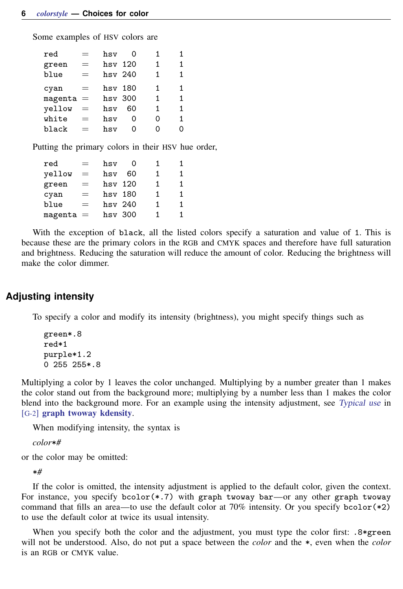Some examples of HSV colors are

| red         | $=$ | hsv       | O  | 1  | 1 |
|-------------|-----|-----------|----|----|---|
| green       | $=$ | hsv 120   |    | 1  | 1 |
| blue        | $=$ | hsv 240   |    | 1. | 1 |
| cyan        | $=$ | hsy 180   |    | 1  | 1 |
| $magenta =$ |     | $hsv$ 300 |    | 1  | 1 |
| yellow      | $=$ | hsv       | 60 | 1  | 1 |
| white       | $=$ | hsv       | 0  | 0  | 1 |
| black       | $=$ | hsv       | Ω  | 0  | 0 |
|             |     |           |    |    |   |

Putting the primary colors in their HSV hue order,

| red         |     | hsv       | 0  |    | 1 |
|-------------|-----|-----------|----|----|---|
| yellow      | $=$ | hsv       | 60 | 1. | 1 |
| green       | $=$ | hsv 120   |    | 1. | 1 |
| cyan        | $=$ | hsv 180   |    | 1. | 1 |
| blue        | $=$ | hsv 240   |    | 1. | 1 |
| $magenta =$ |     | $hsv$ 300 |    | 1  | 1 |

With the exception of black, all the listed colors specify a saturation and value of 1. This is because these are the primary colors in the RGB and CMYK spaces and therefore have full saturation and brightness. Reducing the saturation will reduce the amount of color. Reducing the brightness will make the color dimmer.

# <span id="page-5-0"></span>**Adjusting intensity**

To specify a color and modify its intensity (brightness), you might specify things such as

green\*.8 red\*1 purple\*1.2 0 255 255\*.8

Multiplying a color by 1 leaves the color unchanged. Multiplying by a number greater than 1 makes the color stand out from the background more; multiplying by a number less than 1 makes the color blend into the background more. For an example using the intensity adjustment, see [Typical use](http://www.stata.com/manuals13/g-2graphtwowaykdensity.pdf#g-2graphtwowaykdensityRemarksandexamplesTypicaluse) in [G-2] [graph twoway kdensity](http://www.stata.com/manuals13/g-2graphtwowaykdensity.pdf#g-2graphtwowaykdensity).

When modifying intensity, the syntax is

*color*\**#*

or the color may be omitted:

\**#*

If the color is omitted, the intensity adjustment is applied to the default color, given the context. For instance, you specify  $bcolor(*.7)$  with graph twoway bar—or any other graph twoway command that fills an area—to use the default color at  $70\%$  intensity. Or you specify bcolor( $*2$ ) to use the default color at twice its usual intensity.

When you specify both the color and the adjustment, you must type the color first:  $.8*green$ will not be understood. Also, do not put a space between the *color* and the \*, even when the *color* is an RGB or CMYK value.